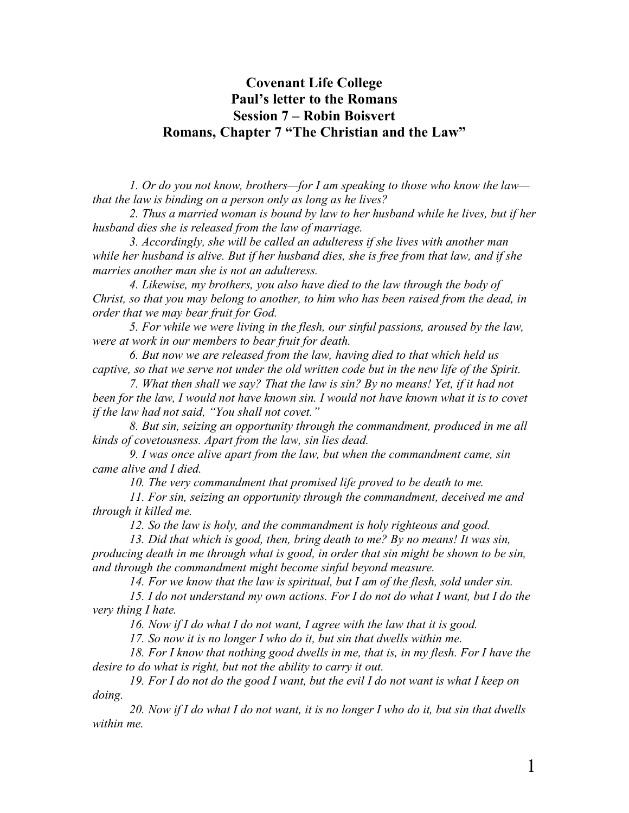# **Covenant Life College Paul's letter to the Romans Session 7 – Robin Boisvert Romans, Chapter 7 "The Christian and the Law"**

*1. Or do you not know, brothers—for I am speaking to those who know the law that the law is binding on a person only as long as he lives?*

*2. Thus a married woman is bound by law to her husband while he lives, but if her husband dies she is released from the law of marriage.*

*3. Accordingly, she will be called an adulteress if she lives with another man while her husband is alive. But if her husband dies, she is free from that law, and if she marries another man she is not an adulteress.*

*4. Likewise, my brothers, you also have died to the law through the body of Christ, so that you may belong to another, to him who has been raised from the dead, in order that we may bear fruit for God.*

*5. For while we were living in the flesh, our sinful passions, aroused by the law, were at work in our members to bear fruit for death.*

*6. But now we are released from the law, having died to that which held us captive, so that we serve not under the old written code but in the new life of the Spirit.*

*7. What then shall we say? That the law is sin? By no means! Yet, if it had not been for the law, I would not have known sin. I would not have known what it is to covet if the law had not said, "You shall not covet."*

*8. But sin, seizing an opportunity through the commandment, produced in me all kinds of covetousness. Apart from the law, sin lies dead.*

*9. I was once alive apart from the law, but when the commandment came, sin came alive and I died.*

*10. The very commandment that promised life proved to be death to me.*

*11. For sin, seizing an opportunity through the commandment, deceived me and through it killed me.*

*12. So the law is holy, and the commandment is holy righteous and good.*

*13. Did that which is good, then, bring death to me? By no means! It was sin, producing death in me through what is good, in order that sin might be shown to be sin, and through the commandment might become sinful beyond measure.*

*14. For we know that the law is spiritual, but I am of the flesh, sold under sin.*

*15. I do not understand my own actions. For I do not do what I want, but I do the very thing I hate.*

*16. Now if I do what I do not want, I agree with the law that it is good.*

*17. So now it is no longer I who do it, but sin that dwells within me.*

*18. For I know that nothing good dwells in me, that is, in my flesh. For I have the desire to do what is right, but not the ability to carry it out.*

*19. For I do not do the good I want, but the evil I do not want is what I keep on doing.*

*20. Now if I do what I do not want, it is no longer I who do it, but sin that dwells within me.*

1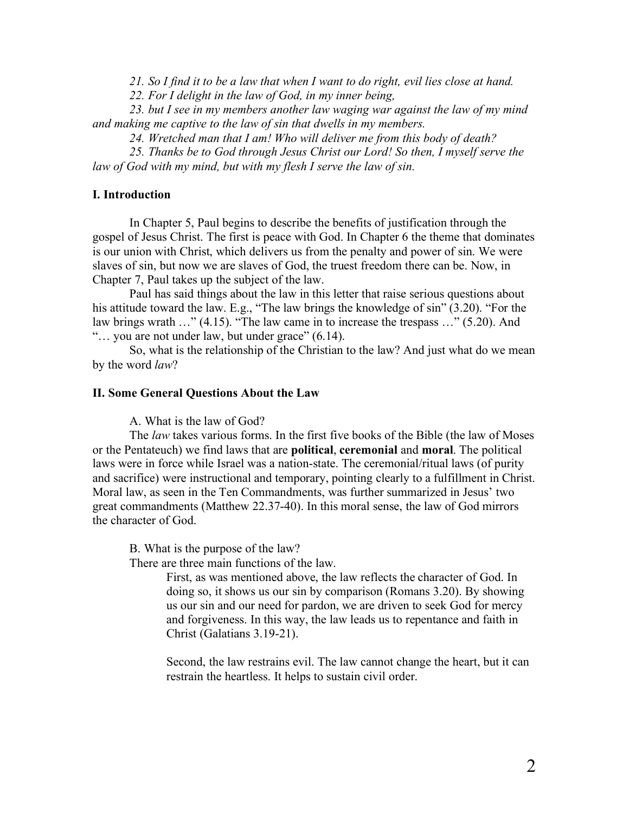*21. So I find it to be a law that when I want to do right, evil lies close at hand.*

*22. For I delight in the law of God, in my inner being,*

*23. but I see in my members another law waging war against the law of my mind and making me captive to the law of sin that dwells in my members.*

*24. Wretched man that I am! Who will deliver me from this body of death?*

*25. Thanks be to God through Jesus Christ our Lord! So then, I myself serve the law of God with my mind, but with my flesh I serve the law of sin.*

### **I. Introduction**

In Chapter 5, Paul begins to describe the benefits of justification through the gospel of Jesus Christ. The first is peace with God. In Chapter 6 the theme that dominates is our union with Christ, which delivers us from the penalty and power of sin. We were slaves of sin, but now we are slaves of God, the truest freedom there can be. Now, in Chapter 7, Paul takes up the subject of the law.

Paul has said things about the law in this letter that raise serious questions about his attitude toward the law. E.g., "The law brings the knowledge of sin" (3.20). "For the law brings wrath …" (4.15). "The law came in to increase the trespass …" (5.20). And "… you are not under law, but under grace" (6.14).

So, what is the relationship of the Christian to the law? And just what do we mean by the word *law*?

#### **II. Some General Questions About the Law**

A. What is the law of God?

The *law* takes various forms. In the first five books of the Bible (the law of Moses or the Pentateuch) we find laws that are **political**, **ceremonial** and **moral**. The political laws were in force while Israel was a nation-state. The ceremonial/ritual laws (of purity and sacrifice) were instructional and temporary, pointing clearly to a fulfillment in Christ. Moral law, as seen in the Ten Commandments, was further summarized in Jesus' two great commandments (Matthew 22.37-40). In this moral sense, the law of God mirrors the character of God.

B. What is the purpose of the law?

There are three main functions of the law.

First, as was mentioned above, the law reflects the character of God. In doing so, it shows us our sin by comparison (Romans 3.20). By showing us our sin and our need for pardon, we are driven to seek God for mercy and forgiveness. In this way, the law leads us to repentance and faith in Christ (Galatians 3.19-21).

Second, the law restrains evil. The law cannot change the heart, but it can restrain the heartless. It helps to sustain civil order.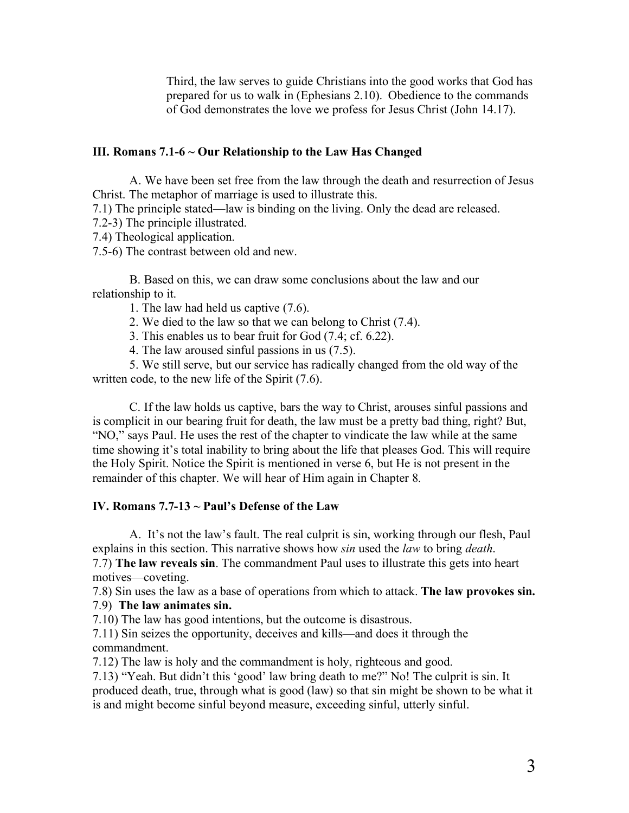Third, the law serves to guide Christians into the good works that God has prepared for us to walk in (Ephesians 2.10). Obedience to the commands of God demonstrates the love we profess for Jesus Christ (John 14.17).

### **III. Romans 7.1-6 ~ Our Relationship to the Law Has Changed**

A. We have been set free from the law through the death and resurrection of Jesus Christ. The metaphor of marriage is used to illustrate this.

7.1) The principle stated—law is binding on the living. Only the dead are released.

7.2-3) The principle illustrated.

7.4) Theological application.

7.5-6) The contrast between old and new.

B. Based on this, we can draw some conclusions about the law and our relationship to it.

1. The law had held us captive (7.6).

2. We died to the law so that we can belong to Christ (7.4).

3. This enables us to bear fruit for God (7.4; cf. 6.22).

4. The law aroused sinful passions in us (7.5).

5. We still serve, but our service has radically changed from the old way of the written code, to the new life of the Spirit (7.6).

C. If the law holds us captive, bars the way to Christ, arouses sinful passions and is complicit in our bearing fruit for death, the law must be a pretty bad thing, right? But, "NO," says Paul. He uses the rest of the chapter to vindicate the law while at the same time showing it's total inability to bring about the life that pleases God. This will require the Holy Spirit. Notice the Spirit is mentioned in verse 6, but He is not present in the remainder of this chapter. We will hear of Him again in Chapter 8.

#### **IV. Romans 7.7-13 ~ Paul's Defense of the Law**

A. It's not the law's fault. The real culprit is sin, working through our flesh, Paul explains in this section. This narrative shows how *sin* used the *law* to bring *death*. 7.7) **The law reveals sin**. The commandment Paul uses to illustrate this gets into heart motives—coveting.

7.8) Sin uses the law as a base of operations from which to attack. **The law provokes sin.**

7.9) **The law animates sin.**

7.10) The law has good intentions, but the outcome is disastrous.

7.11) Sin seizes the opportunity, deceives and kills—and does it through the commandment.

7.12) The law is holy and the commandment is holy, righteous and good.

7.13) "Yeah. But didn't this 'good' law bring death to me?" No! The culprit is sin. It produced death, true, through what is good (law) so that sin might be shown to be what it is and might become sinful beyond measure, exceeding sinful, utterly sinful.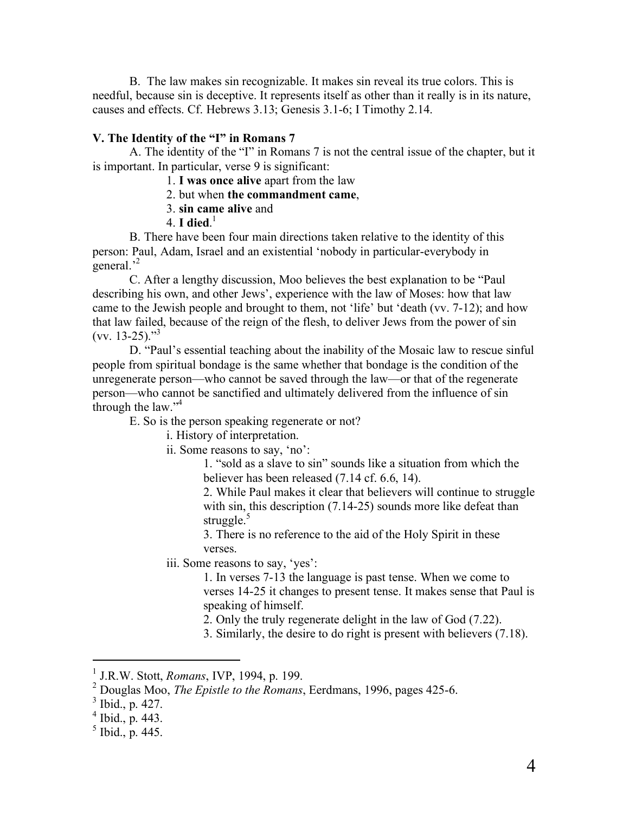B. The law makes sin recognizable. It makes sin reveal its true colors. This is needful, because sin is deceptive. It represents itself as other than it really is in its nature, causes and effects. Cf. Hebrews 3.13; Genesis 3.1-6; I Timothy 2.14.

## **V. The Identity of the "I" in Romans 7**

A. The identity of the "I" in Romans 7 is not the central issue of the chapter, but it is important. In particular, verse 9 is significant:

1. **I was once alive** apart from the law

2. but when **the commandment came**,

- 3. **sin came alive** and
- 4. **I died**. 1

B. There have been four main directions taken relative to the identity of this person: Paul, Adam, Israel and an existential 'nobody in particular-everybody in general.<sup>,2</sup>

C. After a lengthy discussion, Moo believes the best explanation to be "Paul describing his own, and other Jews', experience with the law of Moses: how that law came to the Jewish people and brought to them, not 'life' but 'death (vv. 7-12); and how that law failed, because of the reign of the flesh, to deliver Jews from the power of sin  $(vv. 13-25).$ <sup>3</sup>

D. "Paul's essential teaching about the inability of the Mosaic law to rescue sinful people from spiritual bondage is the same whether that bondage is the condition of the unregenerate person—who cannot be saved through the law—or that of the regenerate person—who cannot be sanctified and ultimately delivered from the influence of sin through the law."<sup>4</sup>

E. So is the person speaking regenerate or not?

i. History of interpretation.

ii. Some reasons to say, 'no':

1. "sold as a slave to sin" sounds like a situation from which the believer has been released (7.14 cf. 6.6, 14).

2. While Paul makes it clear that believers will continue to struggle with sin, this description (7.14-25) sounds more like defeat than struggle.<sup>5</sup>

3. There is no reference to the aid of the Holy Spirit in these verses.

iii. Some reasons to say, 'yes':

1. In verses 7-13 the language is past tense. When we come to verses 14-25 it changes to present tense. It makes sense that Paul is speaking of himself.

2. Only the truly regenerate delight in the law of God (7.22).

3. Similarly, the desire to do right is present with believers (7.18).

<sup>&</sup>lt;sup>1</sup> J.R.W. Stott, *Romans*, IVP, 1994, p. 199.<br><sup>2</sup> Douglas Moo, *The Epistle to the Romans*, Eerdmans, 1996, pages 425-6.

 $\frac{3}{4}$  Ibid., p. 427.<br>  $\frac{4}{5}$  Ibid., p. 445.